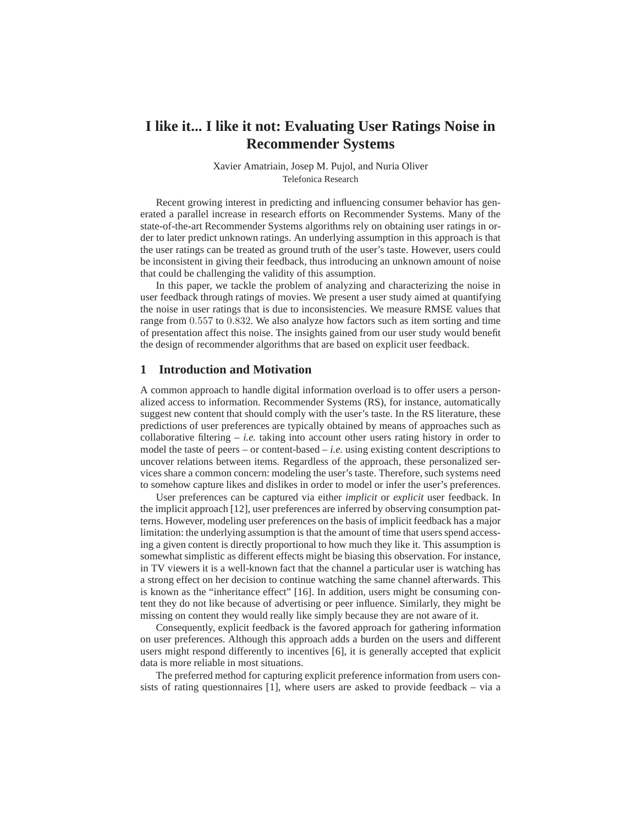# **I like it... I like it not: Evaluating User Ratings Noise in Recommender Systems**

Xavier Amatriain, Josep M. Pujol, and Nuria Oliver Telefonica Research

Recent growing interest in predicting and influencing consumer behavior has generated a parallel increase in research efforts on Recommender Systems. Many of the state-of-the-art Recommender Systems algorithms rely on obtaining user ratings in order to later predict unknown ratings. An underlying assumption in this approach is that the user ratings can be treated as ground truth of the user's taste. However, users could be inconsistent in giving their feedback, thus introducing an unknown amount of noise that could be challenging the validity of this assumption.

In this paper, we tackle the problem of analyzing and characterizing the noise in user feedback through ratings of movies. We present a user study aimed at quantifying the noise in user ratings that is due to inconsistencies. We measure RMSE values that range from 0.557 to 0.832. We also analyze how factors such as item sorting and time of presentation affect this noise. The insights gained from our user study would benefit the design of recommender algorithms that are based on explicit user feedback.

## **1 Introduction and Motivation**

A common approach to handle digital information overload is to offer users a personalized access to information. Recommender Systems (RS), for instance, automatically suggest new content that should comply with the user's taste. In the RS literature, these predictions of user preferences are typically obtained by means of approaches such as collaborative filtering  $-i.e.$  taking into account other users rating history in order to model the taste of peers – or content-based – *i.e.* using existing content descriptions to uncover relations between items. Regardless of the approach, these personalized services share a common concern: modeling the user's taste. Therefore, such systems need to somehow capture likes and dislikes in order to model or infer the user's preferences.

User preferences can be captured via either *implicit* or *explicit* user feedback. In the implicit approach [12], user preferences are inferred by observing consumption patterns. However, modeling user preferences on the basis of implicit feedback has a major limitation: the underlying assumption is that the amount of time that users spend accessing a given content is directly proportional to how much they like it. This assumption is somewhat simplistic as different effects might be biasing this observation. For instance, in TV viewers it is a well-known fact that the channel a particular user is watching has a strong effect on her decision to continue watching the same channel afterwards. This is known as the "inheritance effect" [16]. In addition, users might be consuming content they do not like because of advertising or peer influence. Similarly, they might be missing on content they would really like simply because they are not aware of it.

Consequently, explicit feedback is the favored approach for gathering information on user preferences. Although this approach adds a burden on the users and different users might respond differently to incentives [6], it is generally accepted that explicit data is more reliable in most situations.

The preferred method for capturing explicit preference information from users consists of rating questionnaires [1], where users are asked to provide feedback – via a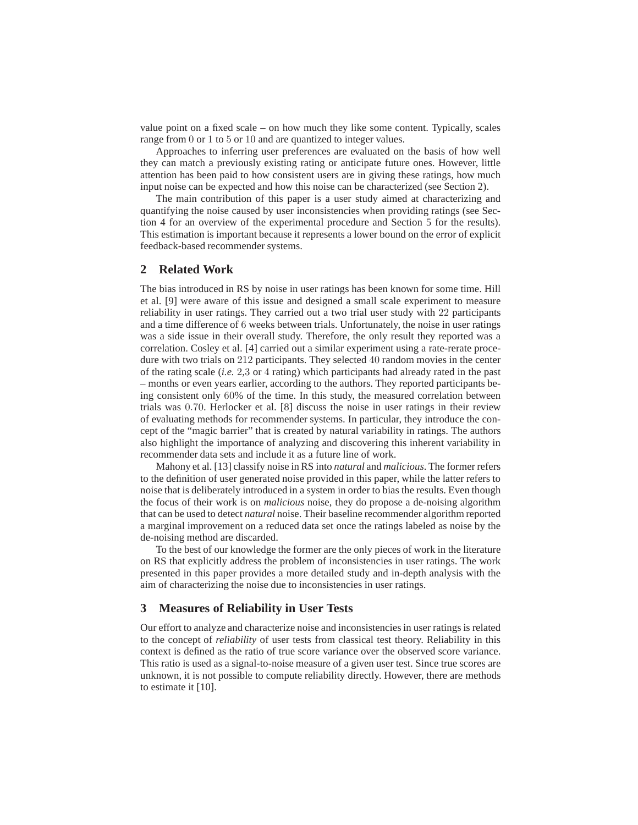value point on a fixed scale – on how much they like some content. Typically, scales range from 0 or 1 to 5 or 10 and are quantized to integer values.

Approaches to inferring user preferences are evaluated on the basis of how well they can match a previously existing rating or anticipate future ones. However, little attention has been paid to how consistent users are in giving these ratings, how much input noise can be expected and how this noise can be characterized (see Section 2).

The main contribution of this paper is a user study aimed at characterizing and quantifying the noise caused by user inconsistencies when providing ratings (see Section 4 for an overview of the experimental procedure and Section 5 for the results). This estimation is important because it represents a lower bound on the error of explicit feedback-based recommender systems.

## **2 Related Work**

The bias introduced in RS by noise in user ratings has been known for some time. Hill et al. [9] were aware of this issue and designed a small scale experiment to measure reliability in user ratings. They carried out a two trial user study with 22 participants and a time difference of 6 weeks between trials. Unfortunately, the noise in user ratings was a side issue in their overall study. Therefore, the only result they reported was a correlation. Cosley et al. [4] carried out a similar experiment using a rate-rerate procedure with two trials on 212 participants. They selected 40 random movies in the center of the rating scale (*i.e.* 2,3 or 4 rating) which participants had already rated in the past – months or even years earlier, according to the authors. They reported participants being consistent only 60% of the time. In this study, the measured correlation between trials was 0.70. Herlocker et al. [8] discuss the noise in user ratings in their review of evaluating methods for recommender systems. In particular, they introduce the concept of the "magic barrier" that is created by natural variability in ratings. The authors also highlight the importance of analyzing and discovering this inherent variability in recommender data sets and include it as a future line of work.

Mahony et al. [13] classify noise in RS into *natural* and *malicious*. The former refers to the definition of user generated noise provided in this paper, while the latter refers to noise that is deliberately introduced in a system in order to bias the results. Even though the focus of their work is on *malicious* noise, they do propose a de-noising algorithm that can be used to detect *natural* noise. Their baseline recommender algorithm reported a marginal improvement on a reduced data set once the ratings labeled as noise by the de-noising method are discarded.

To the best of our knowledge the former are the only pieces of work in the literature on RS that explicitly address the problem of inconsistencies in user ratings. The work presented in this paper provides a more detailed study and in-depth analysis with the aim of characterizing the noise due to inconsistencies in user ratings.

### **3 Measures of Reliability in User Tests**

Our effort to analyze and characterize noise and inconsistencies in user ratings is related to the concept of *reliability* of user tests from classical test theory. Reliability in this context is defined as the ratio of true score variance over the observed score variance. This ratio is used as a signal-to-noise measure of a given user test. Since true scores are unknown, it is not possible to compute reliability directly. However, there are methods to estimate it [10].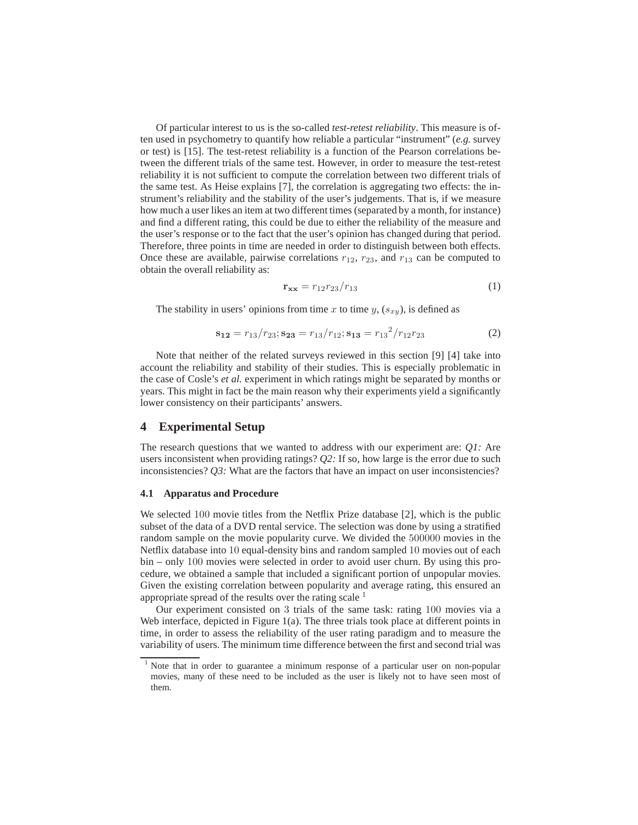Of particular interest to us is the so-called *test-retest reliability*. This measure is often used in psychometry to quantify how reliable a particular "instrument" (*e.g.* survey or test) is [15]. The test-retest reliability is a function of the Pearson correlations between the different trials of the same test. However, in order to measure the test-retest reliability it is not sufficient to compute the correlation between two different trials of the same test. As Heise explains [7], the correlation is aggregating two effects: the instrument's reliability and the stability of the user's judgements. That is, if we measure how much a user likes an item at two different times (separated by a month, for instance) and find a different rating, this could be due to either the reliability of the measure and the user's response or to the fact that the user's opinion has changed during that period. Therefore, three points in time are needed in order to distinguish between both effects. Once these are available, pairwise correlations  $r_{12}$ ,  $r_{23}$ , and  $r_{13}$  can be computed to obtain the overall reliability as:

$$
\mathbf{r}_{\mathbf{x}\mathbf{x}} = r_{12}r_{23}/r_{13} \tag{1}
$$

The stability in users' opinions from time x to time  $y$ ,  $(s_{xy})$ , is defined as

$$
\mathbf{s}_{12} = r_{13}/r_{23}; \mathbf{s}_{23} = r_{13}/r_{12}; \mathbf{s}_{13} = r_{13}^2/r_{12}r_{23}
$$
 (2)

Note that neither of the related surveys reviewed in this section [9] [4] take into account the reliability and stability of their studies. This is especially problematic in the case of Cosle's *et al.* experiment in which ratings might be separated by months or years. This might in fact be the main reason why their experiments yield a significantly lower consistency on their participants' answers.

### **4 Experimental Setup**

The research questions that we wanted to address with our experiment are: *Q1:* Are users inconsistent when providing ratings? *Q2:* If so, how large is the error due to such inconsistencies? *Q3:* What are the factors that have an impact on user inconsistencies?

### **4.1 Apparatus and Procedure**

We selected 100 movie titles from the Netflix Prize database [2], which is the public subset of the data of a DVD rental service. The selection was done by using a stratified random sample on the movie popularity curve. We divided the 500000 movies in the Netflix database into 10 equal-density bins and random sampled 10 movies out of each bin – only 100 movies were selected in order to avoid user churn. By using this procedure, we obtained a sample that included a significant portion of unpopular movies. Given the existing correlation between popularity and average rating, this ensured an appropriate spread of the results over the rating scale  $<sup>1</sup>$ </sup>

Our experiment consisted on 3 trials of the same task: rating 100 movies via a Web interface, depicted in Figure 1(a). The three trials took place at different points in time, in order to assess the reliability of the user rating paradigm and to measure the variability of users. The minimum time difference between the first and second trial was

<sup>&</sup>lt;sup>1</sup> Note that in order to guarantee a minimum response of a particular user on non-popular movies, many of these need to be included as the user is likely not to have seen most of them.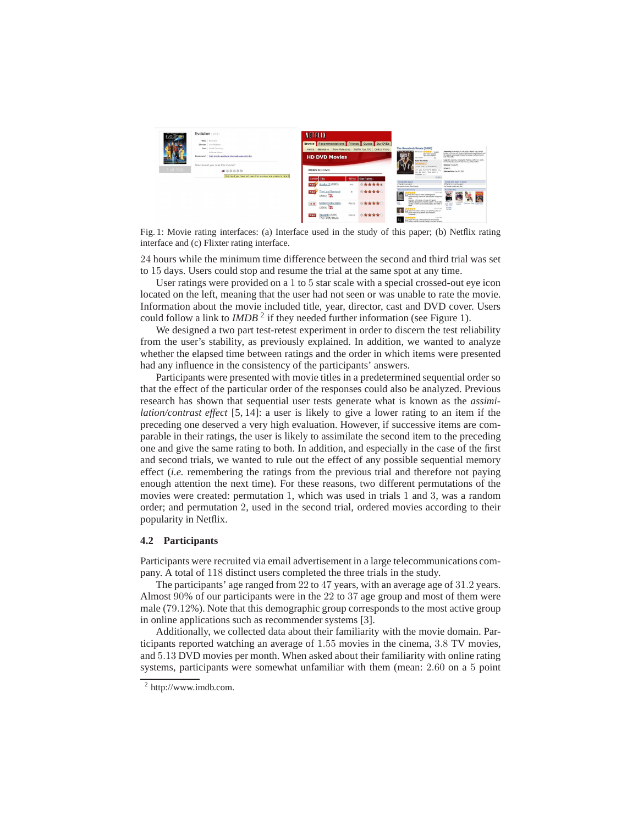

Fig. 1: Movie rating interfaces: (a) Interface used in the study of this paper; (b) Netflix rating interface and (c) Flixter rating interface.

24 hours while the minimum time difference between the second and third trial was set to 15 days. Users could stop and resume the trial at the same spot at any time.

User ratings were provided on a 1 to 5 star scale with a special crossed-out eye icon located on the left, meaning that the user had not seen or was unable to rate the movie. Information about the movie included title, year, director, cast and DVD cover. Users could follow a link to *IMDB*<sup>2</sup> if they needed further information (see Figure 1).

We designed a two part test-retest experiment in order to discern the test reliability from the user's stability, as previously explained. In addition, we wanted to analyze whether the elapsed time between ratings and the order in which items were presented had any influence in the consistency of the participants' answers.

Participants were presented with movie titles in a predetermined sequential order so that the effect of the particular order of the responses could also be analyzed. Previous research has shown that sequential user tests generate what is known as the *assimilation/contrast effect* [5, 14]: a user is likely to give a lower rating to an item if the preceding one deserved a very high evaluation. However, if successive items are comparable in their ratings, the user is likely to assimilate the second item to the preceding one and give the same rating to both. In addition, and especially in the case of the first and second trials, we wanted to rule out the effect of any possible sequential memory effect *(i.e.* remembering the ratings from the previous trial and therefore not paying enough attention the next time). For these reasons, two different permutations of the movies were created: permutation 1, which was used in trials 1 and 3, was a random order; and permutation 2, used in the second trial, ordered movies according to their popularity in Netflix.

#### **4.2 Participants**

Participants were recruited via email advertisement in a large telecommunications company. A total of 118 distinct users completed the three trials in the study.

The participants' age ranged from 22 to 47 years, with an average age of 31.2 years. Almost 90% of our participants were in the 22 to 37 age group and most of them were male (79.12%). Note that this demographic group corresponds to the most active group in online applications such as recommender systems [3].

Additionally, we collected data about their familiarity with the movie domain. Participants reported watching an average of 1.55 movies in the cinema, 3.8 TV movies, and 5.13 DVD movies per month. When asked about their familiarity with online rating systems, participants were somewhat unfamiliar with them (mean: 2.60 on a 5 point

 $2$  http://www.imdb.com.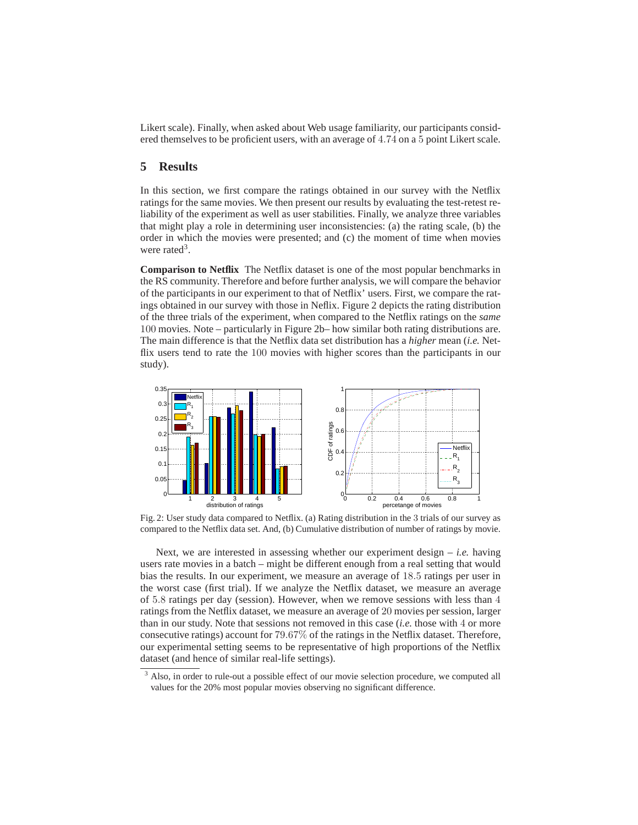Likert scale). Finally, when asked about Web usage familiarity, our participants considered themselves to be proficient users, with an average of 4.74 on a 5 point Likert scale.

# **5 Results**

In this section, we first compare the ratings obtained in our survey with the Netflix ratings for the same movies. We then present our results by evaluating the test-retest reliability of the experiment as well as user stabilities. Finally, we analyze three variables that might play a role in determining user inconsistencies: (a) the rating scale, (b) the order in which the movies were presented; and (c) the moment of time when movies were rated<sup>3</sup>.

**Comparison to Netflix** The Netflix dataset is one of the most popular benchmarks in the RS community. Therefore and before further analysis, we will compare the behavior of the participants in our experiment to that of Netflix' users. First, we compare the ratings obtained in our survey with those in Neflix. Figure 2 depicts the rating distribution of the three trials of the experiment, when compared to the Netflix ratings on the *same* 100 movies. Note – particularly in Figure 2b– how similar both rating distributions are. The main difference is that the Netflix data set distribution has a *higher* mean (*i.e.* Netflix users tend to rate the 100 movies with higher scores than the participants in our study).



Fig. 2: User study data compared to Netflix. (a) Rating distribution in the 3 trials of our survey as compared to the Netflix data set. And, (b) Cumulative distribution of number of ratings by movie.

Next, we are interested in assessing whether our experiment design – *i.e.* having users rate movies in a batch – might be different enough from a real setting that would bias the results. In our experiment, we measure an average of 18.5 ratings per user in the worst case (first trial). If we analyze the Netflix dataset, we measure an average of 5.8 ratings per day (session). However, when we remove sessions with less than 4 ratings from the Netflix dataset, we measure an average of 20 movies per session, larger than in our study. Note that sessions not removed in this case (*i.e.* those with 4 or more consecutive ratings) account for 79.67% of the ratings in the Netflix dataset. Therefore, our experimental setting seems to be representative of high proportions of the Netflix dataset (and hence of similar real-life settings).

<sup>&</sup>lt;sup>3</sup> Also, in order to rule-out a possible effect of our movie selection procedure, we computed all values for the 20% most popular movies observing no significant difference.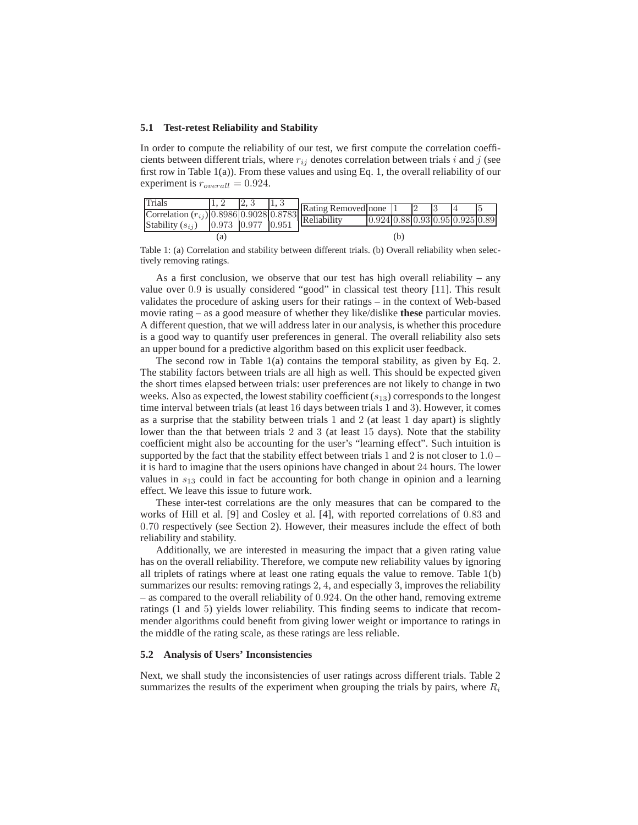#### **5.1 Test-retest Reliability and Stability**

In order to compute the reliability of our test, we first compute the correlation coefficients between different trials, where  $r_{ij}$  denotes correlation between trials i and j (see first row in Table 1(a)). From these values and using Eq. 1, the overall reliability of our experiment is  $r_{overall} = 0.924$ .

| Trials<br><b>Rating Removed none 11</b>                                                          |  |  |  |  |  |  |
|--------------------------------------------------------------------------------------------------|--|--|--|--|--|--|
|                                                                                                  |  |  |  |  |  |  |
| Correlation $(r_{ij})$ 0.8986 0.9028 0.8783 Reliability<br>[0.924] 0.88] 0.93] 0.95] 0.925] 0.89 |  |  |  |  |  |  |
| 0.973 0.977 0.951<br>Stability $(s_{ii})$                                                        |  |  |  |  |  |  |
| a                                                                                                |  |  |  |  |  |  |

Table 1: (a) Correlation and stability between different trials. (b) Overall reliability when selectively removing ratings.

As a first conclusion, we observe that our test has high overall reliability – any value over 0.9 is usually considered "good" in classical test theory [11]. This result validates the procedure of asking users for their ratings – in the context of Web-based movie rating – as a good measure of whether they like/dislike **these** particular movies. A different question, that we will address later in our analysis, is whether this procedure is a good way to quantify user preferences in general. The overall reliability also sets an upper bound for a predictive algorithm based on this explicit user feedback.

The second row in Table 1(a) contains the temporal stability, as given by Eq. 2. The stability factors between trials are all high as well. This should be expected given the short times elapsed between trials: user preferences are not likely to change in two weeks. Also as expected, the lowest stability coefficient  $(s_{13})$  corresponds to the longest time interval between trials (at least 16 days between trials 1 and 3). However, it comes as a surprise that the stability between trials 1 and 2 (at least 1 day apart) is slightly lower than the that between trials 2 and 3 (at least 15 days). Note that the stability coefficient might also be accounting for the user's "learning effect". Such intuition is supported by the fact that the stability effect between trials 1 and 2 is not closer to  $1.0$ it is hard to imagine that the users opinions have changed in about 24 hours. The lower values in  $s_{13}$  could in fact be accounting for both change in opinion and a learning effect. We leave this issue to future work.

These inter-test correlations are the only measures that can be compared to the works of Hill et al. [9] and Cosley et al. [4], with reported correlations of 0.83 and 0.70 respectively (see Section 2). However, their measures include the effect of both reliability and stability.

Additionally, we are interested in measuring the impact that a given rating value has on the overall reliability. Therefore, we compute new reliability values by ignoring all triplets of ratings where at least one rating equals the value to remove. Table 1(b) summarizes our results: removing ratings 2, 4, and especially 3, improves the reliability – as compared to the overall reliability of 0.924. On the other hand, removing extreme ratings (1 and 5) yields lower reliability. This finding seems to indicate that recommender algorithms could benefit from giving lower weight or importance to ratings in the middle of the rating scale, as these ratings are less reliable.

### **5.2 Analysis of Users' Inconsistencies**

Next, we shall study the inconsistencies of user ratings across different trials. Table 2 summarizes the results of the experiment when grouping the trials by pairs, where  $R_i$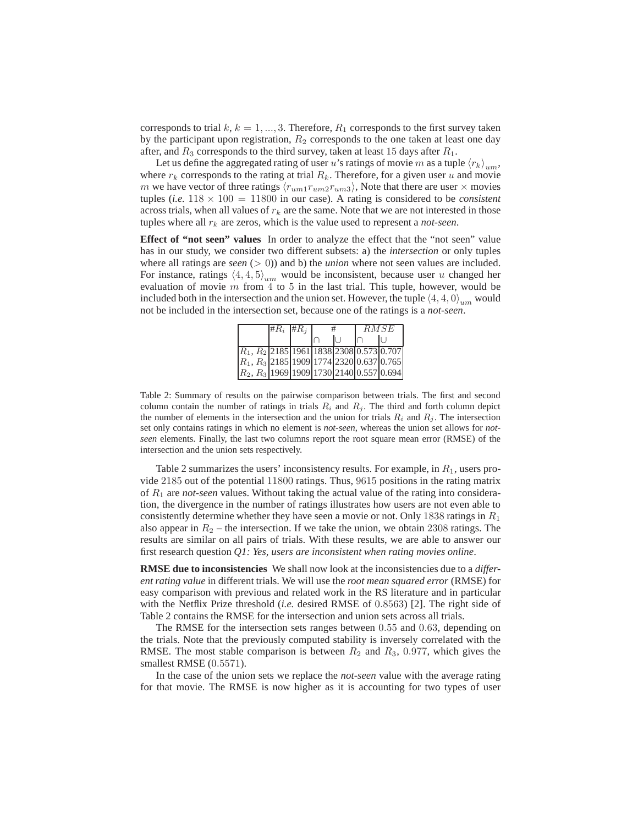corresponds to trial  $k, k = 1, ..., 3$ . Therefore,  $R_1$  corresponds to the first survey taken by the participant upon registration,  $R_2$  corresponds to the one taken at least one day after, and  $R_3$  corresponds to the third survey, taken at least 15 days after  $R_1$ .

Let us define the aggregated rating of user u's ratings of movie m as a tuple  $\langle r_k \rangle_{um}$ , where  $r_k$  corresponds to the rating at trial  $R_k$ . Therefore, for a given user u and movie m we have vector of three ratings  $\langle r_{um1}r_{um2}r_{um3}\rangle$ , Note that there are user  $\times$  movies tuples (*i.e.*  $118 \times 100 = 11800$  in our case). A rating is considered to be *consistent* across trials, when all values of  $r_k$  are the same. Note that we are not interested in those tuples where all  $r_k$  are zeros, which is the value used to represent a *not-seen*.

**Effect of "not seen" values** In order to analyze the effect that the "not seen" value has in our study, we consider two different subsets: a) the *intersection* or only tuples where all ratings are  $seen(> 0)$ ) and b) the *union* where not seen values are included. For instance, ratings  $\langle 4, 4, 5 \rangle_{um}$  would be inconsistent, because user u changed her evaluation of movie  $m$  from 4 to 5 in the last trial. This tuple, however, would be included both in the intersection and the union set. However, the tuple  $\langle 4, 4, 0 \rangle_{um}$  would not be included in the intersection set, because one of the ratings is a *not-seen*.

|                                                           | $#R_i$ $#R_i$ | # |  | RMSE |  |
|-----------------------------------------------------------|---------------|---|--|------|--|
|                                                           |               |   |  |      |  |
| $ R_1, R_2 $ 2185 1961 1838 2308 0.573 0.707              |               |   |  |      |  |
| $R_1, R_3$ 2185 1909 1774 2320 0.637 0.765                |               |   |  |      |  |
| $\left  R_2, R_3 \right $ 1969 1909 1730 2140 0.557 0.694 |               |   |  |      |  |

Table 2: Summary of results on the pairwise comparison between trials. The first and second column contain the number of ratings in trials  $R_i$  and  $R_j$ . The third and forth column depict the number of elements in the intersection and the union for trials  $R_i$  and  $R_j$ . The intersection set only contains ratings in which no element is *not-seen*, whereas the union set allows for *notseen* elements. Finally, the last two columns report the root square mean error (RMSE) of the intersection and the union sets respectively.

Table 2 summarizes the users' inconsistency results. For example, in  $R_1$ , users provide 2185 out of the potential 11800 ratings. Thus, 9615 positions in the rating matrix of R<sup>1</sup> are *not-seen* values. Without taking the actual value of the rating into consideration, the divergence in the number of ratings illustrates how users are not even able to consistently determine whether they have seen a movie or not. Only 1838 ratings in  $R_1$ also appear in  $R_2$  – the intersection. If we take the union, we obtain 2308 ratings. The results are similar on all pairs of trials. With these results, we are able to answer our first research question *Q1: Yes, users are inconsistent when rating movies online*.

**RMSE due to inconsistencies** We shall now look at the inconsistencies due to a *different rating value* in different trials. We will use the *root mean squared error* (RMSE) for easy comparison with previous and related work in the RS literature and in particular with the Netflix Prize threshold (*i.e.* desired RMSE of 0.8563) [2]. The right side of Table 2 contains the RMSE for the intersection and union sets across all trials.

The RMSE for the intersection sets ranges between 0.55 and 0.63, depending on the trials. Note that the previously computed stability is inversely correlated with the RMSE. The most stable comparison is between  $R_2$  and  $R_3$ , 0.977, which gives the smallest RMSE (0.5571).

In the case of the union sets we replace the *not-seen* value with the average rating for that movie. The RMSE is now higher as it is accounting for two types of user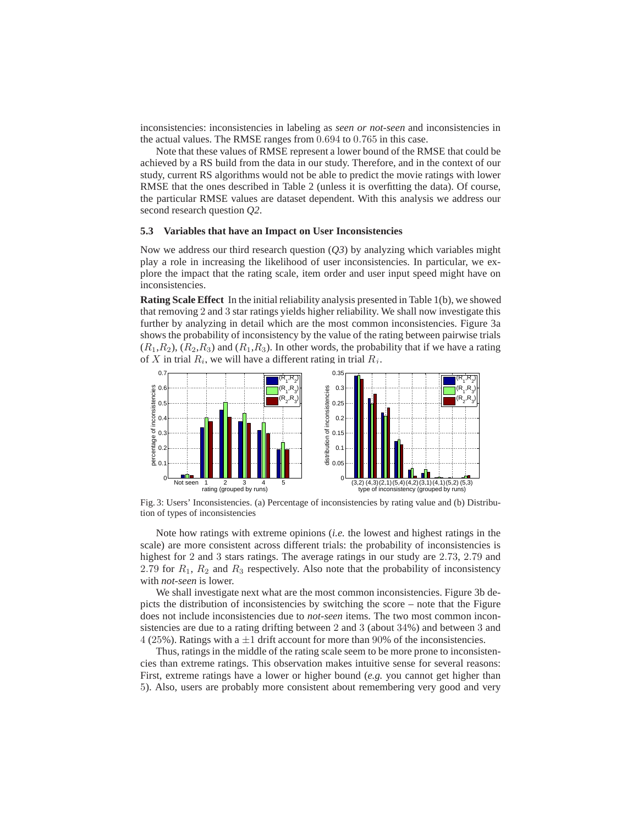inconsistencies: inconsistencies in labeling as *seen or not-seen* and inconsistencies in the actual values. The RMSE ranges from 0.694 to 0.765 in this case.

Note that these values of RMSE represent a lower bound of the RMSE that could be achieved by a RS build from the data in our study. Therefore, and in the context of our study, current RS algorithms would not be able to predict the movie ratings with lower RMSE that the ones described in Table 2 (unless it is overfitting the data). Of course, the particular RMSE values are dataset dependent. With this analysis we address our second research question *Q2*.

#### **5.3 Variables that have an Impact on User Inconsistencies**

Now we address our third research question  $(0,3)$  by analyzing which variables might play a role in increasing the likelihood of user inconsistencies. In particular, we explore the impact that the rating scale, item order and user input speed might have on inconsistencies.

**Rating Scale Effect** In the initial reliability analysis presented in Table 1(b), we showed that removing 2 and 3 star ratings yields higher reliability. We shall now investigate this further by analyzing in detail which are the most common inconsistencies. Figure 3a shows the probability of inconsistency by the value of the rating between pairwise trials  $(R_1,R_2)$ ,  $(R_2,R_3)$  and  $(R_1,R_3)$ . In other words, the probability that if we have a rating of X in trial  $R_i$ , we will have a different rating in trial  $R_i$ .



Fig. 3: Users' Inconsistencies. (a) Percentage of inconsistencies by rating value and (b) Distribution of types of inconsistencies

Note how ratings with extreme opinions (*i.e.* the lowest and highest ratings in the scale) are more consistent across different trials: the probability of inconsistencies is highest for 2 and 3 stars ratings. The average ratings in our study are 2.73, 2.79 and 2.79 for  $R_1$ ,  $R_2$  and  $R_3$  respectively. Also note that the probability of inconsistency with *not-seen* is lower.

We shall investigate next what are the most common inconsistencies. Figure 3b depicts the distribution of inconsistencies by switching the score – note that the Figure does not include inconsistencies due to *not-seen* items. The two most common inconsistencies are due to a rating drifting between 2 and 3 (about 34%) and between 3 and  $4$  (25%). Ratings with a  $\pm 1$  drift account for more than 90% of the inconsistencies.

Thus, ratings in the middle of the rating scale seem to be more prone to inconsistencies than extreme ratings. This observation makes intuitive sense for several reasons: First, extreme ratings have a lower or higher bound (*e.g.* you cannot get higher than 5). Also, users are probably more consistent about remembering very good and very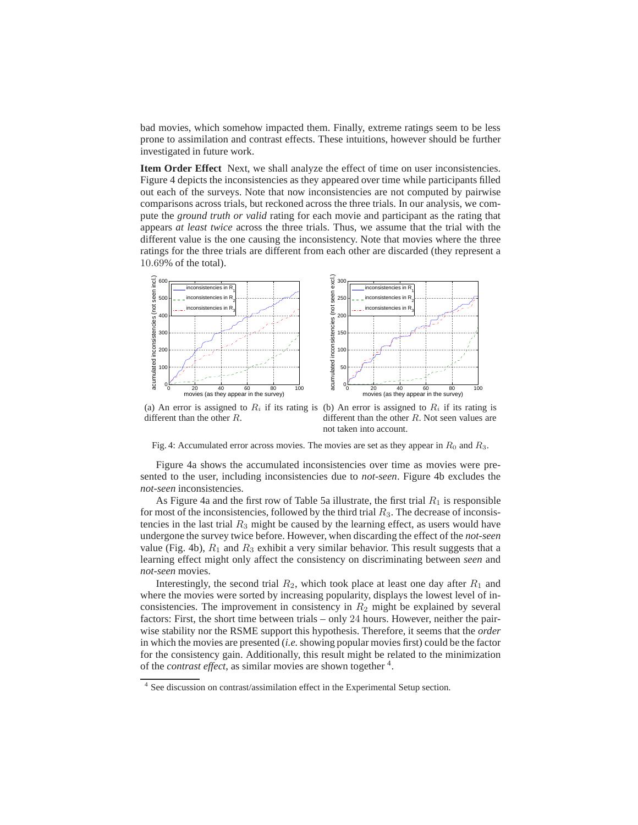bad movies, which somehow impacted them. Finally, extreme ratings seem to be less prone to assimilation and contrast effects. These intuitions, however should be further investigated in future work.

**Item Order Effect** Next, we shall analyze the effect of time on user inconsistencies. Figure 4 depicts the inconsistencies as they appeared over time while participants filled out each of the surveys. Note that now inconsistencies are not computed by pairwise comparisons across trials, but reckoned across the three trials. In our analysis, we compute the *ground truth or valid* rating for each movie and participant as the rating that appears *at least twice* across the three trials. Thus, we assume that the trial with the different value is the one causing the inconsistency. Note that movies where the three ratings for the three trials are different from each other are discarded (they represent a 10.69% of the total).





(a) An error is assigned to  $R_i$  if its rating is different than the other R.

(b) An error is assigned to  $R_i$  if its rating is different than the other R. Not seen values are not taken into account.

Fig. 4: Accumulated error across movies. The movies are set as they appear in  $R_0$  and  $R_3$ .

Figure 4a shows the accumulated inconsistencies over time as movies were presented to the user, including inconsistencies due to *not-seen*. Figure 4b excludes the *not-seen* inconsistencies.

As Figure 4a and the first row of Table 5a illustrate, the first trial  $R_1$  is responsible for most of the inconsistencies, followed by the third trial  $R<sub>3</sub>$ . The decrease of inconsistencies in the last trial  $R_3$  might be caused by the learning effect, as users would have undergone the survey twice before. However, when discarding the effect of the *not-seen* value (Fig. 4b),  $R_1$  and  $R_3$  exhibit a very similar behavior. This result suggests that a learning effect might only affect the consistency on discriminating between *seen* and *not-seen* movies.

Interestingly, the second trial  $R_2$ , which took place at least one day after  $R_1$  and where the movies were sorted by increasing popularity, displays the lowest level of inconsistencies. The improvement in consistency in  $R_2$  might be explained by several factors: First, the short time between trials – only 24 hours. However, neither the pairwise stability nor the RSME support this hypothesis. Therefore, it seems that the *order* in which the movies are presented (*i.e.* showing popular movies first) could be the factor for the consistency gain. Additionally, this result might be related to the minimization of the *contrast effect*, as similar movies are shown together <sup>4</sup>.

 $^4$  See discussion on contrast/assimilation effect in the Experimental Setup section.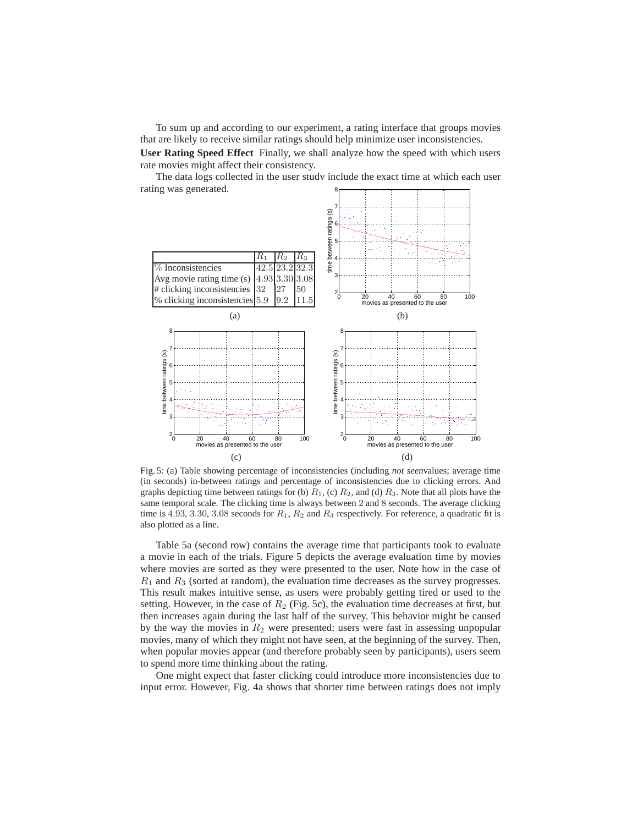To sum up and according to our experiment, a rating interface that groups movies that are likely to receive similar ratings should help minimize user inconsistencies.

**User Rating Speed Effect** Finally, we shall analyze how the speed with which users rate movies might affect their consistency.

The data logs collected in the user study include the exact time at which each user rating was generated. 8



Fig. 5: (a) Table showing percentage of inconsistencies (including *not seen*values; average time (in seconds) in-between ratings and percentage of inconsistencies due to clicking errors. And graphs depicting time between ratings for (b)  $R_1$ , (c)  $R_2$ , and (d)  $R_3$ . Note that all plots have the same temporal scale. The clicking time is always between 2 and 8 seconds. The average clicking time is 4.93, 3.30, 3.08 seconds for  $R_1$ ,  $R_2$  and  $R_3$  respectively. For reference, a quadratic fit is also plotted as a line.

Table 5a (second row) contains the average time that participants took to evaluate a movie in each of the trials. Figure 5 depicts the average evaluation time by movies where movies are sorted as they were presented to the user. Note how in the case of  $R_1$  and  $R_3$  (sorted at random), the evaluation time decreases as the survey progresses. This result makes intuitive sense, as users were probably getting tired or used to the setting. However, in the case of  $R_2$  (Fig. 5c), the evaluation time decreases at first, but then increases again during the last half of the survey. This behavior might be caused by the way the movies in  $R_2$  were presented: users were fast in assessing unpopular movies, many of which they might not have seen, at the beginning of the survey. Then, when popular movies appear (and therefore probably seen by participants), users seem to spend more time thinking about the rating.

One might expect that faster clicking could introduce more inconsistencies due to input error. However, Fig. 4a shows that shorter time between ratings does not imply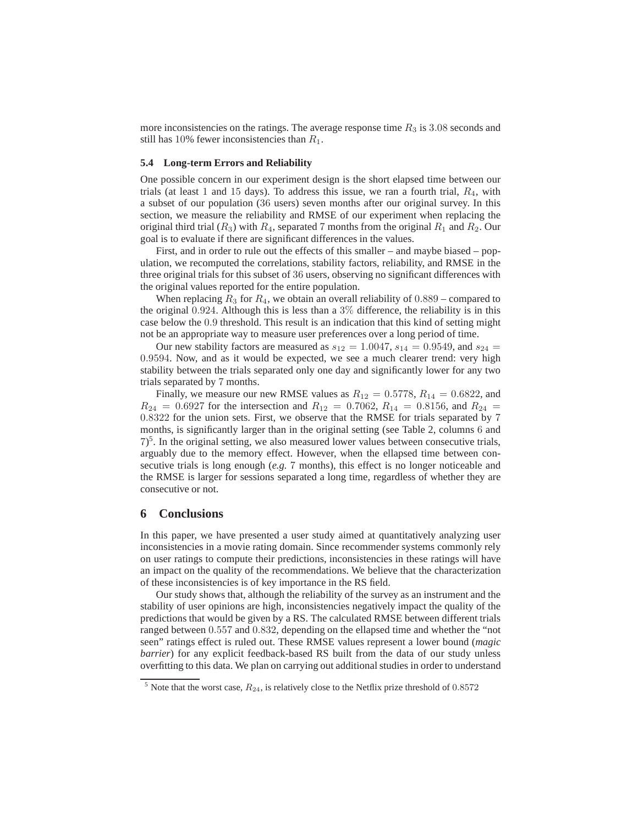more inconsistencies on the ratings. The average response time  $R_3$  is 3.08 seconds and still has 10% fewer inconsistencies than  $R_1$ .

#### **5.4 Long-term Errors and Reliability**

One possible concern in our experiment design is the short elapsed time between our trials (at least 1 and 15 days). To address this issue, we ran a fourth trial,  $R_4$ , with a subset of our population (36 users) seven months after our original survey. In this section, we measure the reliability and RMSE of our experiment when replacing the original third trial  $(R_3)$  with  $R_4$ , separated 7 months from the original  $R_1$  and  $R_2$ . Our goal is to evaluate if there are significant differences in the values.

First, and in order to rule out the effects of this smaller – and maybe biased – population, we recomputed the correlations, stability factors, reliability, and RMSE in the three original trials for this subset of 36 users, observing no significant differences with the original values reported for the entire population.

When replacing  $R_3$  for  $R_4$ , we obtain an overall reliability of 0.889 – compared to the original 0.924. Although this is less than a 3% difference, the reliability is in this case below the 0.9 threshold. This result is an indication that this kind of setting might not be an appropriate way to measure user preferences over a long period of time.

Our new stability factors are measured as  $s_{12} = 1.0047$ ,  $s_{14} = 0.9549$ , and  $s_{24} =$ 0.9594. Now, and as it would be expected, we see a much clearer trend: very high stability between the trials separated only one day and significantly lower for any two trials separated by 7 months.

Finally, we measure our new RMSE values as  $R_{12} = 0.5778$ ,  $R_{14} = 0.6822$ , and  $R_{24} = 0.6927$  for the intersection and  $R_{12} = 0.7062$ ,  $R_{14} = 0.8156$ , and  $R_{24} =$ 0.8322 for the union sets. First, we observe that the RMSE for trials separated by 7 months, is significantly larger than in the original setting (see Table 2, columns 6 and 7) 5 . In the original setting, we also measured lower values between consecutive trials, arguably due to the memory effect. However, when the ellapsed time between consecutive trials is long enough (*e.g.* 7 months), this effect is no longer noticeable and the RMSE is larger for sessions separated a long time, regardless of whether they are consecutive or not.

### **6 Conclusions**

In this paper, we have presented a user study aimed at quantitatively analyzing user inconsistencies in a movie rating domain. Since recommender systems commonly rely on user ratings to compute their predictions, inconsistencies in these ratings will have an impact on the quality of the recommendations. We believe that the characterization of these inconsistencies is of key importance in the RS field.

Our study shows that, although the reliability of the survey as an instrument and the stability of user opinions are high, inconsistencies negatively impact the quality of the predictions that would be given by a RS. The calculated RMSE between different trials ranged between 0.557 and 0.832, depending on the ellapsed time and whether the "not seen" ratings effect is ruled out. These RMSE values represent a lower bound (*magic barrier*) for any explicit feedback-based RS built from the data of our study unless overfitting to this data. We plan on carrying out additional studies in order to understand

 $5$  Note that the worst case,  $R_{24}$ , is relatively close to the Netflix prize threshold of 0.8572